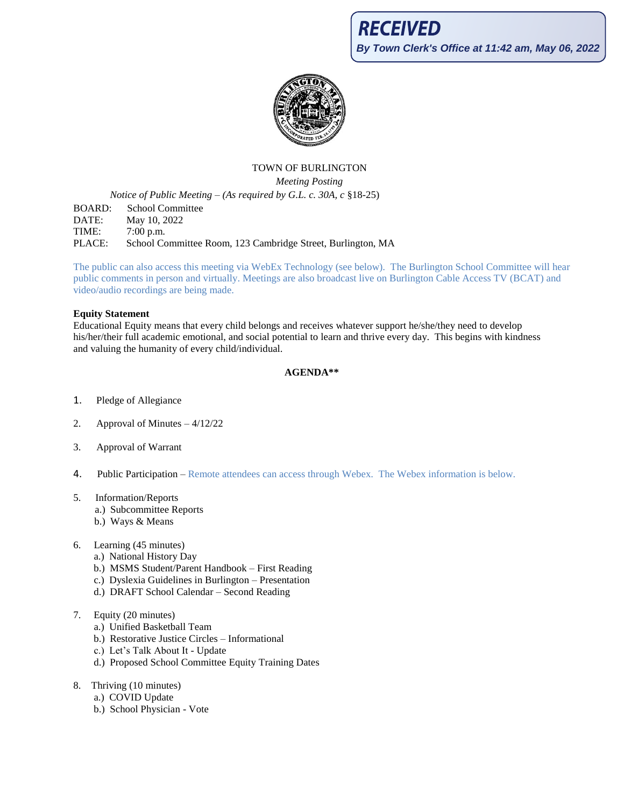

# TOWN OF BURLINGTON

*Meeting Posting*

*Notice of Public Meeting – (As required by G.L. c. 30A, c* §18-25)

BOARD: School Committee DATE: May 10, 2022 TIME: 7:00 p.m. PLACE: School Committee Room, 123 Cambridge Street, Burlington, MA

The public can also access this meeting via WebEx Technology (see below). The Burlington School Committee will hear public comments in person and virtually. Meetings are also broadcast live on Burlington Cable Access TV (BCAT) and video/audio recordings are being made.

#### **Equity Statement**

Educational Equity means that every child belongs and receives whatever support he/she/they need to develop his/her/their full academic emotional, and social potential to learn and thrive every day. This begins with kindness and valuing the humanity of every child/individual.

#### **AGENDA\*\***

- 1. Pledge of Allegiance
- 2. Approval of Minutes 4/12/22
- 3. Approval of Warrant
- 4. Public Participation Remote attendees can access through Webex. The Webex information is below.
- 5. Information/Reports
	- a.) Subcommittee Reports
	- b.) Ways & Means
- 6. Learning (45 minutes)
	- a.) National History Day
	- b.) MSMS Student/Parent Handbook First Reading
	- c.) Dyslexia Guidelines in Burlington Presentation
	- d.) DRAFT School Calendar Second Reading
- 7. Equity (20 minutes)
	- a.) Unified Basketball Team
	- b.) Restorative Justice Circles Informational
	- c.) Let's Talk About It Update
	- d.) Proposed School Committee Equity Training Dates
- 8. Thriving (10 minutes)
	- a.) COVID Update
	- b.) School Physician Vote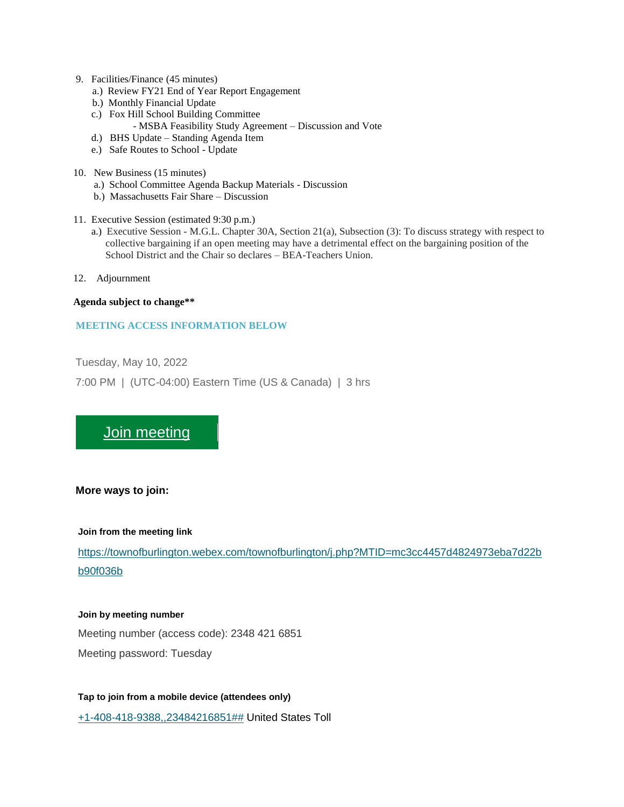- 9. Facilities/Finance (45 minutes)
	- a.) Review FY21 End of Year Report Engagement
	- b.) Monthly Financial Update
	- c.) Fox Hill School Building Committee
		- MSBA Feasibility Study Agreement Discussion and Vote
	- d.) BHS Update Standing Agenda Item
	- e.) Safe Routes to School Update
- 10. New Business (15 minutes)
	- a.) School Committee Agenda Backup Materials Discussion
	- b.) Massachusetts Fair Share Discussion
- 11. Executive Session (estimated 9:30 p.m.)
	- a.) Executive Session M.G.L. Chapter 30A, Section 21(a), Subsection (3): To discuss strategy with respect to collective bargaining if an open meeting may have a detrimental effect on the bargaining position of the School District and the Chair so declares – BEA-Teachers Union.
- 12. Adjournment

#### **Agenda subject to change\*\***

#### **MEETING ACCESS INFORMATION BELOW**

Tuesday, May 10, 2022 7:00 PM | (UTC-04:00) Eastern Time (US & Canada) | 3 hrs

# [Join meeting](https://townofburlington.webex.com/townofburlington/j.php?MTID=mc3cc4457d4824973eba7d22bb90f036b)

#### **More ways to join:**

#### **Join from the meeting link**

[https://townofburlington.webex.com/townofburlington/j.php?MTID=mc3cc4457d4824973eba7d22b](https://townofburlington.webex.com/townofburlington/j.php?MTID=mc3cc4457d4824973eba7d22bb90f036b) [b90f036b](https://townofburlington.webex.com/townofburlington/j.php?MTID=mc3cc4457d4824973eba7d22bb90f036b)

#### **Join by meeting number**

Meeting number (access code): 2348 421 6851 Meeting password: Tuesday

**Tap to join from a mobile device (attendees only)** [+1-408-418-9388,,23484216851##](tel:%2B1-408-418-9388,,*01*23484216851%23%23*01*) United States Toll